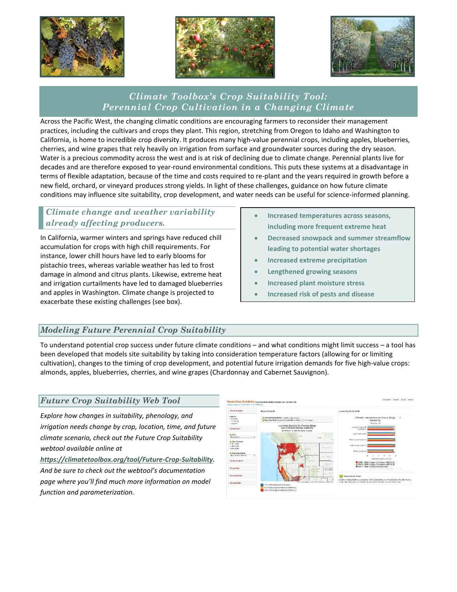





# *Climate Toolbox's Crop Suitability Tool: Perennial Crop Cultivation in a Changing Climate*

Across the Pacific West, the changing climatic conditions are encouraging farmers to reconsider their management practices, including the cultivars and crops they plant. This region, stretching from Oregon to Idaho and Washington to California, is home to incredible crop diversity. It produces many high-value perennial crops, including apples, blueberries, cherries, and wine grapes that rely heavily on irrigation from surface and groundwater sources during the dry season. Water is a precious commodity across the west and is at risk of declining due to climate change. Perennial plants live for decades and are therefore exposed to year-round environmental conditions. This puts these systems at a disadvantage in terms of flexible adaptation, because of the time and costs required to re-plant and the years required in growth before a new field, orchard, or vineyard produces strong yields. In light of these challenges, guidance on how future climate conditions may influence site suitability, crop development, and water needs can be useful for science-informed planning.

### *Climate change and weather variability already affecting producers.*

In California, warmer winters and springs have reduced chill accumulation for crops with high chill requirements. For instance, lower chill hours have led to early blooms for pistachio trees, whereas variable weather has led to frost damage in almond and citrus plants. Likewise, extreme heat and irrigation curtailments have led to damaged blueberries and apples in Washington. Climate change is projected to exacerbate these existing challenges (see box).

- **Increased temperatures across seasons, including more frequent extreme heat**
- **Decreased snowpack and summer streamflow leading to potential water shortages**
- **Increased extreme precipitation**
- **Lengthened growing seasons**
- **Increased plant moisture stress**
- **Increased risk of pests and disease**

# *Modeling Future Perennial Crop Suitability*

To understand potential crop success under future climate conditions – and what conditions might limit success – a tool has been developed that models site suitability by taking into consideration temperature factors (allowing for or limiting cultivation), changes to the timing of crop development, and potential future irrigation demands for five high-value crops: almonds, apples, blueberries, cherries, and wine grapes (Chardonnay and Cabernet Sauvignon).

#### *Future Crop Suitability Web Tool*

*Explore how changes in suitability, phenology, and irrigation needs change by crop, location, time, and future climate scenario, check out the Future Crop Suitability webtool available online at* 

*[https://climatetoolbox.org/tool/Future-Crop-Suitability.](https://climatetoolbox.org/tool/Future-Crop-Suitability) And be sure to check out the webtool's documentation page where you'll find much more information on model function and parameterization.*